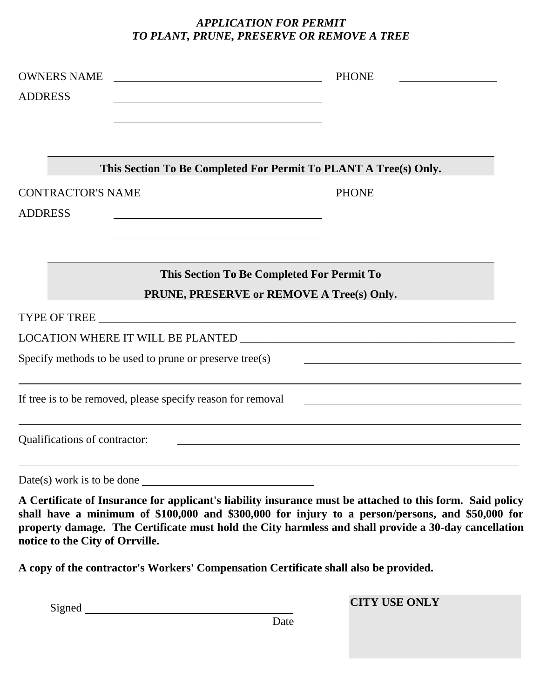## *APPLICATION FOR PERMIT TO PLANT, PRUNE, PRESERVE OR REMOVE A TREE*

| <b>OWNERS NAME</b><br><b>ADDRESS</b> |                                                                                         | <b>PHONE</b> |  |
|--------------------------------------|-----------------------------------------------------------------------------------------|--------------|--|
|                                      | This Section To Be Completed For Permit To PLANT A Tree(s) Only.                        |              |  |
| CONTRACTOR'S NAME                    |                                                                                         | <b>PHONE</b> |  |
| <b>ADDRESS</b>                       |                                                                                         |              |  |
|                                      | This Section To Be Completed For Permit To<br>PRUNE, PRESERVE or REMOVE A Tree(s) Only. |              |  |
|                                      |                                                                                         |              |  |
|                                      |                                                                                         |              |  |
|                                      | Specify methods to be used to prune or preserve tree(s)                                 |              |  |
|                                      | If tree is to be removed, please specify reason for removal                             |              |  |
| Qualifications of contractor:        |                                                                                         |              |  |
|                                      | $Date(s)$ work is to be done                                                            |              |  |

**A Certificate of Insurance for applicant's liability insurance must be attached to this form. Said policy shall have a minimum of \$100,000 and \$300,000 for injury to a person/persons, and \$50,000 for property damage. The Certificate must hold the City harmless and shall provide a 30-day cancellation notice to the City of Orrville.**

**A copy of the contractor's Workers' Compensation Certificate shall also be provided.**

**CITY USE ONLY**

Signed

Date